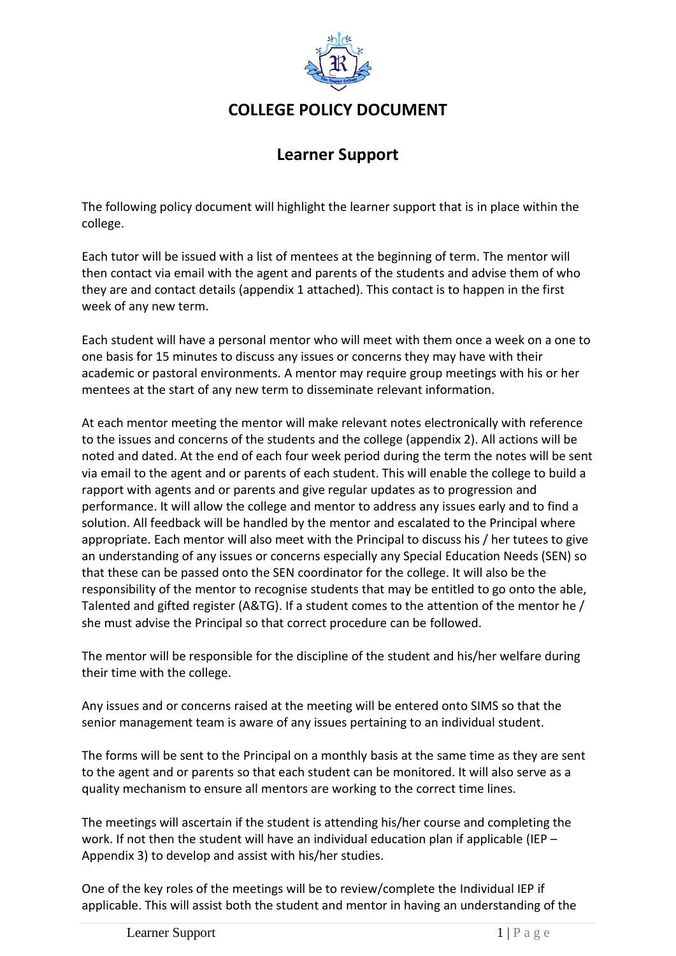

## **COLLEGE POLICY DOCUMENT**

# **Learner Support**

The following policy document will highlight the learner support that is in place within the college.

Each tutor will be issued with a list of mentees at the beginning of term. The mentor will then contact via email with the agent and parents of the students and advise them of who they are and contact details (appendix 1 attached). This contact is to happen in the first week of any new term.

Each student will have a personal mentor who will meet with them once a week on a one to one basis for 15 minutes to discuss any issues or concerns they may have with their academic or pastoral environments. A mentor may require group meetings with his or her mentees at the start of any new term to disseminate relevant information.

At each mentor meeting the mentor will make relevant notes electronically with reference to the issues and concerns of the students and the college (appendix 2). All actions will be noted and dated. At the end of each four week period during the term the notes will be sent via email to the agent and or parents of each student. This will enable the college to build a rapport with agents and or parents and give regular updates as to progression and performance. It will allow the college and mentor to address any issues early and to find a solution. All feedback will be handled by the mentor and escalated to the Principal where appropriate. Each mentor will also meet with the Principal to discuss his / her tutees to give an understanding of any issues or concerns especially any Special Education Needs (SEN) so that these can be passed onto the SEN coordinator for the college. It will also be the responsibility of the mentor to recognise students that may be entitled to go onto the able, Talented and gifted register (A&TG). If a student comes to the attention of the mentor he / she must advise the Principal so that correct procedure can be followed.

The mentor will be responsible for the discipline of the student and his/her welfare during their time with the college.

Any issues and or concerns raised at the meeting will be entered onto SIMS so that the senior management team is aware of any issues pertaining to an individual student.

The forms will be sent to the Principal on a monthly basis at the same time as they are sent to the agent and or parents so that each student can be monitored. It will also serve as a quality mechanism to ensure all mentors are working to the correct time lines.

The meetings will ascertain if the student is attending his/her course and completing the work. If not then the student will have an individual education plan if applicable (IEP – Appendix 3) to develop and assist with his/her studies.

One of the key roles of the meetings will be to review/complete the Individual IEP if applicable. This will assist both the student and mentor in having an understanding of the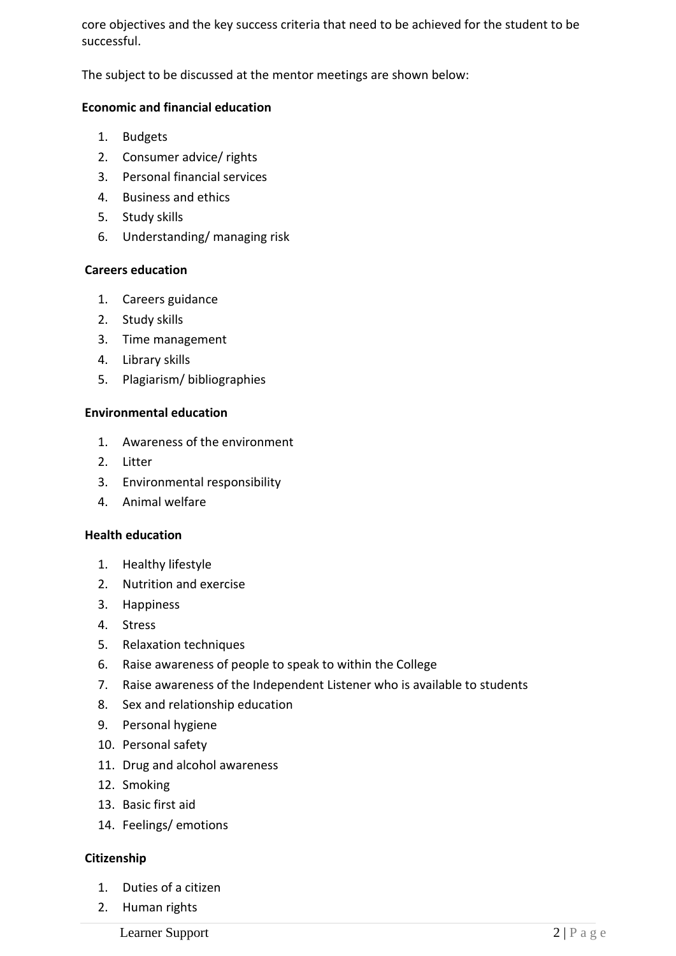core objectives and the key success criteria that need to be achieved for the student to be successful.

The subject to be discussed at the mentor meetings are shown below:

### **Economic and financial education**

- 1. Budgets
- 2. Consumer advice/ rights
- 3. Personal financial services
- 4. Business and ethics
- 5. Study skills
- 6. Understanding/ managing risk

### **Careers education**

- 1. Careers guidance
- 2. Study skills
- 3. Time management
- 4. Library skills
- 5. Plagiarism/ bibliographies

### **Environmental education**

- 1. Awareness of the environment
- 2. Litter
- 3. Environmental responsibility
- 4. Animal welfare

### **Health education**

- 1. Healthy lifestyle
- 2. Nutrition and exercise
- 3. Happiness
- 4. Stress
- 5. Relaxation techniques
- 6. Raise awareness of people to speak to within the College
- 7. Raise awareness of the Independent Listener who is available to students
- 8. Sex and relationship education
- 9. Personal hygiene
- 10. Personal safety
- 11. Drug and alcohol awareness
- 12. Smoking
- 13. Basic first aid
- 14. Feelings/ emotions

### **Citizenship**

- 1. Duties of a citizen
- 2. Human rights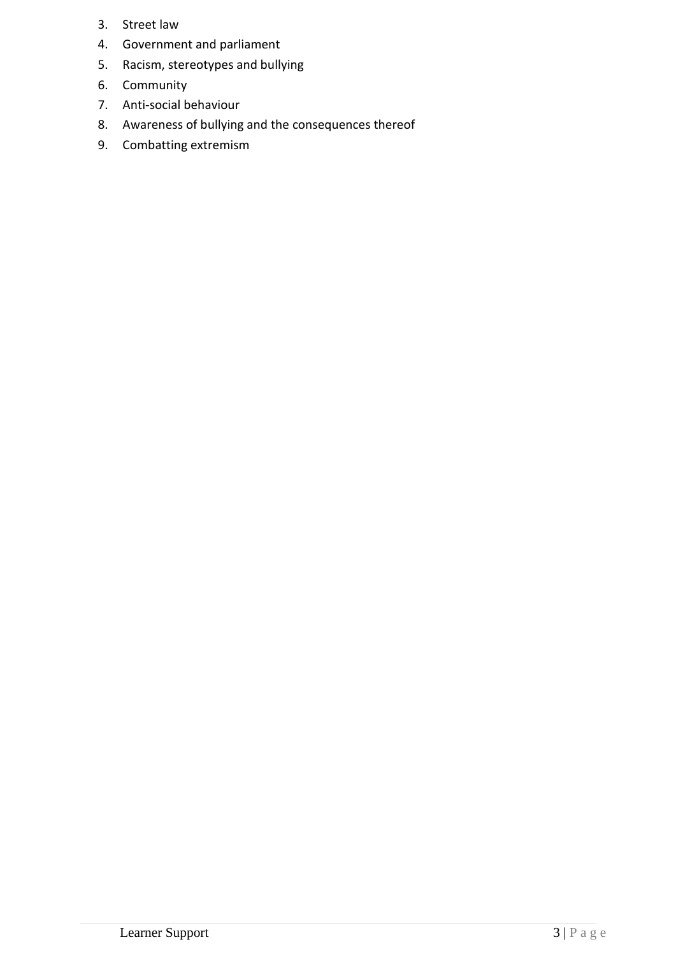- 3. Street law
- 4. Government and parliament
- 5. Racism, stereotypes and bullying
- 6. Community
- 7. Anti-social behaviour
- 8. Awareness of bullying and the consequences thereof
- 9. Combatting extremism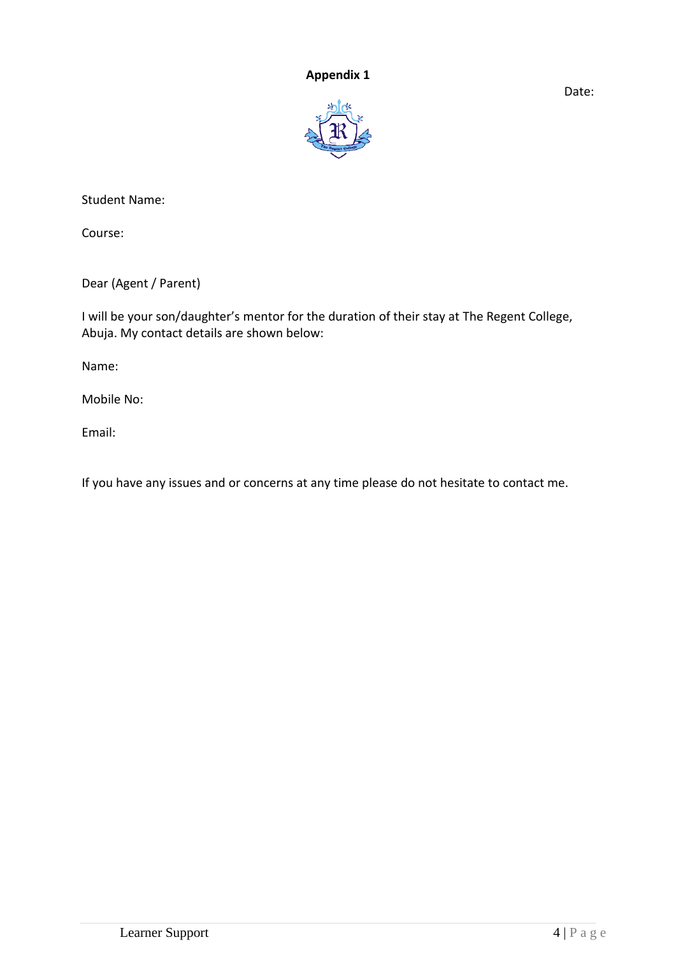### **Appendix 1**

Date:



Student Name:

Course:

Dear (Agent / Parent)

I will be your son/daughter's mentor for the duration of their stay at The Regent College, Abuja. My contact details are shown below:

Name:

Mobile No:

Email:

If you have any issues and or concerns at any time please do not hesitate to contact me.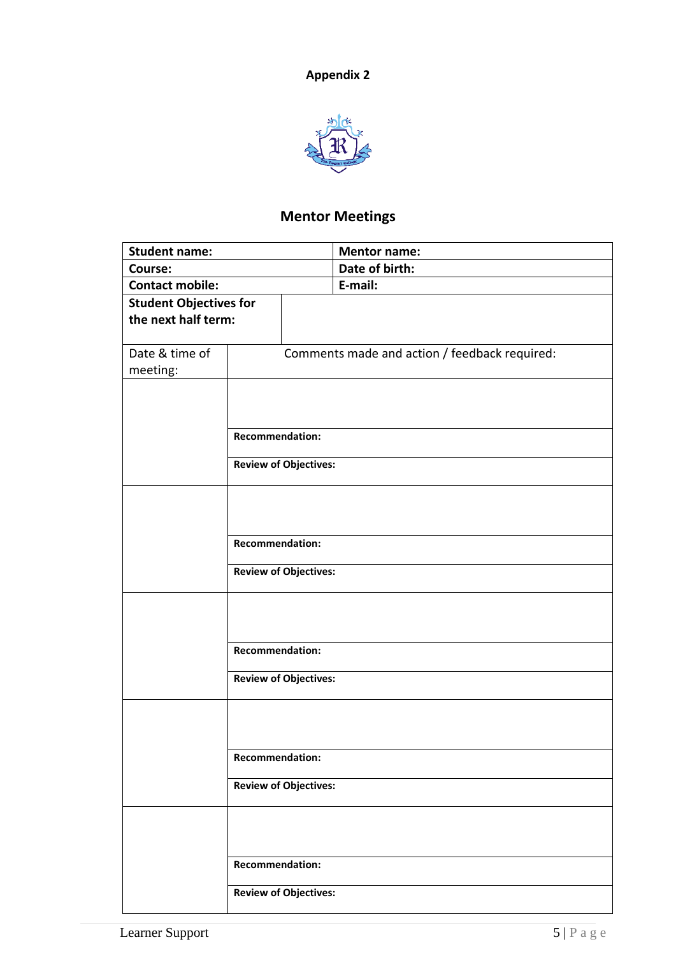

# **Mentor Meetings**

| <b>Student name:</b>          |                                               | <b>Mentor name:</b> |  |
|-------------------------------|-----------------------------------------------|---------------------|--|
| Course:                       |                                               | Date of birth:      |  |
| <b>Contact mobile:</b>        |                                               | E-mail:             |  |
| <b>Student Objectives for</b> |                                               |                     |  |
| the next half term:           |                                               |                     |  |
|                               |                                               |                     |  |
| Date & time of                | Comments made and action / feedback required: |                     |  |
| meeting:                      |                                               |                     |  |
|                               |                                               |                     |  |
|                               |                                               |                     |  |
|                               |                                               |                     |  |
|                               | Recommendation:                               |                     |  |
|                               | <b>Review of Objectives:</b>                  |                     |  |
|                               |                                               |                     |  |
|                               |                                               |                     |  |
|                               |                                               |                     |  |
|                               |                                               |                     |  |
|                               | <b>Recommendation:</b>                        |                     |  |
|                               |                                               |                     |  |
|                               | <b>Review of Objectives:</b>                  |                     |  |
|                               |                                               |                     |  |
|                               |                                               |                     |  |
|                               |                                               |                     |  |
|                               | <b>Recommendation:</b>                        |                     |  |
|                               |                                               |                     |  |
|                               | <b>Review of Objectives:</b>                  |                     |  |
|                               |                                               |                     |  |
|                               |                                               |                     |  |
|                               |                                               |                     |  |
|                               | <b>Recommendation:</b>                        |                     |  |
|                               |                                               |                     |  |
|                               | <b>Review of Objectives:</b>                  |                     |  |
|                               |                                               |                     |  |
|                               |                                               |                     |  |
|                               |                                               |                     |  |
|                               | <b>Recommendation:</b>                        |                     |  |
|                               |                                               |                     |  |
|                               | <b>Review of Objectives:</b>                  |                     |  |
|                               |                                               |                     |  |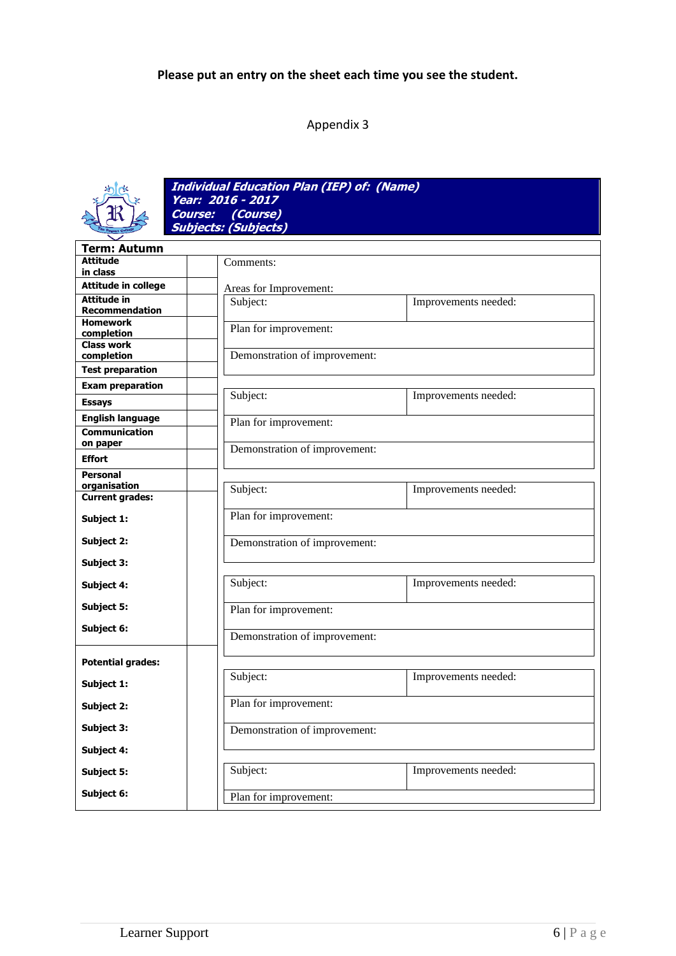## **Please put an entry on the sheet each time you see the student.**

## Appendix 3



**Individual Education Plan (IEP) of: (Name) Year: 2016 - 2017 Course: (Course) Subjects: (Subjects)**

| <b>Term: Autumn</b>             |                               |                               |  |  |
|---------------------------------|-------------------------------|-------------------------------|--|--|
| <b>Attitude</b>                 |                               | Comments:                     |  |  |
| in class                        |                               |                               |  |  |
| <b>Attitude in college</b>      |                               | Areas for Improvement:        |  |  |
| Attitude in                     | Subject:                      | Improvements needed:          |  |  |
| <b>Recommendation</b>           |                               |                               |  |  |
| <b>Homework</b>                 | Plan for improvement:         |                               |  |  |
| completion<br><b>Class work</b> |                               |                               |  |  |
| completion                      |                               | Demonstration of improvement: |  |  |
|                                 |                               |                               |  |  |
| <b>Test preparation</b>         |                               |                               |  |  |
| <b>Exam preparation</b>         | Subject:                      | Improvements needed:          |  |  |
| <b>Essays</b>                   |                               |                               |  |  |
| <b>English language</b>         | Plan for improvement:         |                               |  |  |
| <b>Communication</b>            |                               |                               |  |  |
| on paper                        |                               | Demonstration of improvement: |  |  |
| <b>Effort</b>                   |                               |                               |  |  |
| <b>Personal</b>                 |                               |                               |  |  |
| organisation                    | Subject:                      | Improvements needed:          |  |  |
| <b>Current grades:</b>          |                               |                               |  |  |
| Subject 1:                      | Plan for improvement:         |                               |  |  |
|                                 |                               |                               |  |  |
| Subject 2:                      | Demonstration of improvement: |                               |  |  |
| Subject 3:                      |                               |                               |  |  |
|                                 |                               |                               |  |  |
| Subject 4:                      | Subject:                      | Improvements needed:          |  |  |
| Subject 5:                      | Plan for improvement:         |                               |  |  |
|                                 |                               |                               |  |  |
| Subject 6:                      | Demonstration of improvement: |                               |  |  |
|                                 |                               |                               |  |  |
| <b>Potential grades:</b>        |                               |                               |  |  |
|                                 | Subject:                      | Improvements needed:          |  |  |
| Subject 1:                      |                               |                               |  |  |
| Subject 2:                      | Plan for improvement:         |                               |  |  |
|                                 |                               |                               |  |  |
| Subject 3:                      |                               | Demonstration of improvement: |  |  |
| Subject 4:                      |                               |                               |  |  |
| <b>Subject 5:</b>               | Subject:                      | Improvements needed:          |  |  |
|                                 |                               |                               |  |  |
| Subject 6:                      | Plan for improvement:         |                               |  |  |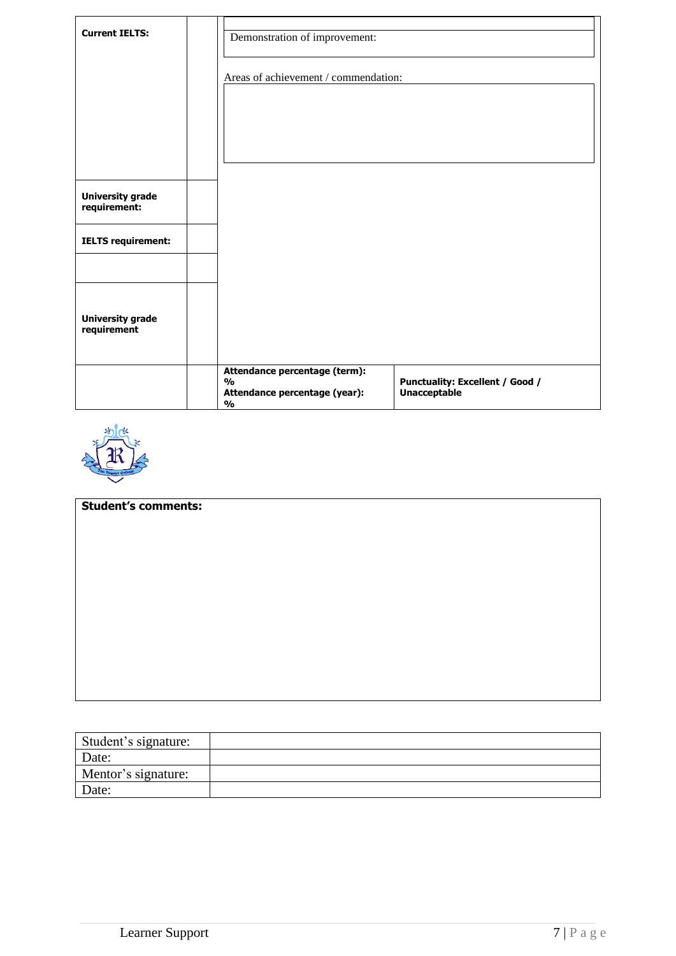| <b>Current IELTS:</b>                   | Demonstration of improvement:<br>Areas of achievement / commendation:                            |                                                        |
|-----------------------------------------|--------------------------------------------------------------------------------------------------|--------------------------------------------------------|
| <b>University grade</b><br>requirement: |                                                                                                  |                                                        |
| <b>IELTS requirement:</b>               |                                                                                                  |                                                        |
| <b>University grade</b><br>requirement  |                                                                                                  |                                                        |
|                                         | Attendance percentage (term):<br>$\frac{0}{0}$<br>Attendance percentage (year):<br>$\frac{0}{0}$ | Punctuality: Excellent / Good /<br><b>Unacceptable</b> |



| <b>Student's comments:</b> |  |  |  |  |  |
|----------------------------|--|--|--|--|--|
|                            |  |  |  |  |  |
|                            |  |  |  |  |  |
|                            |  |  |  |  |  |
|                            |  |  |  |  |  |
|                            |  |  |  |  |  |
|                            |  |  |  |  |  |
|                            |  |  |  |  |  |
|                            |  |  |  |  |  |
|                            |  |  |  |  |  |
|                            |  |  |  |  |  |
|                            |  |  |  |  |  |
|                            |  |  |  |  |  |
|                            |  |  |  |  |  |
|                            |  |  |  |  |  |

| Student's signature: |  |
|----------------------|--|
| Date:                |  |
| Mentor's signature:  |  |
| Date:                |  |